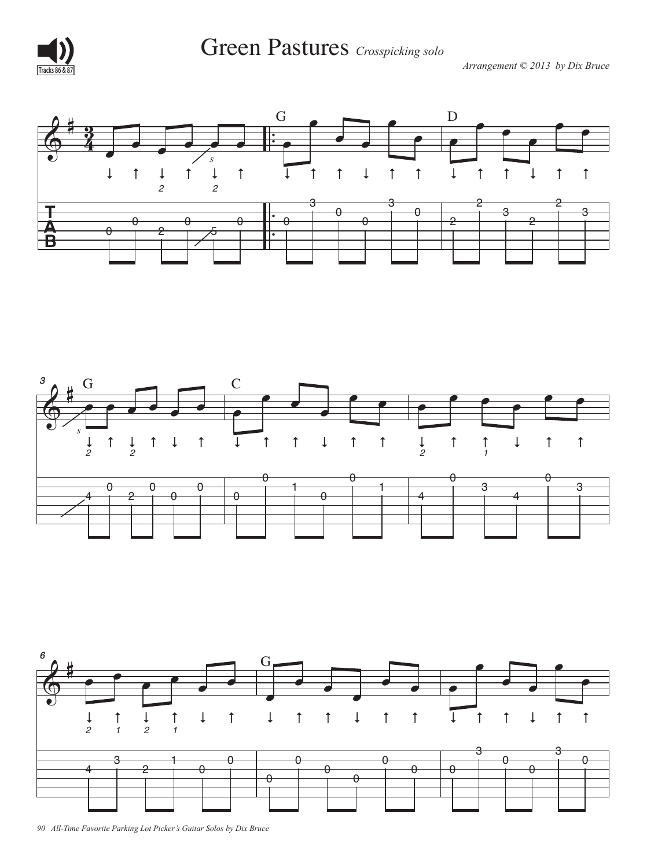

Green Pastures *Crosspicking solo*  $\blacksquare$  Fastures  $\mathit{Crosspi}$ 

*Arrangement © 2013 by Dix Bruce* **Tracks 86 & 87**